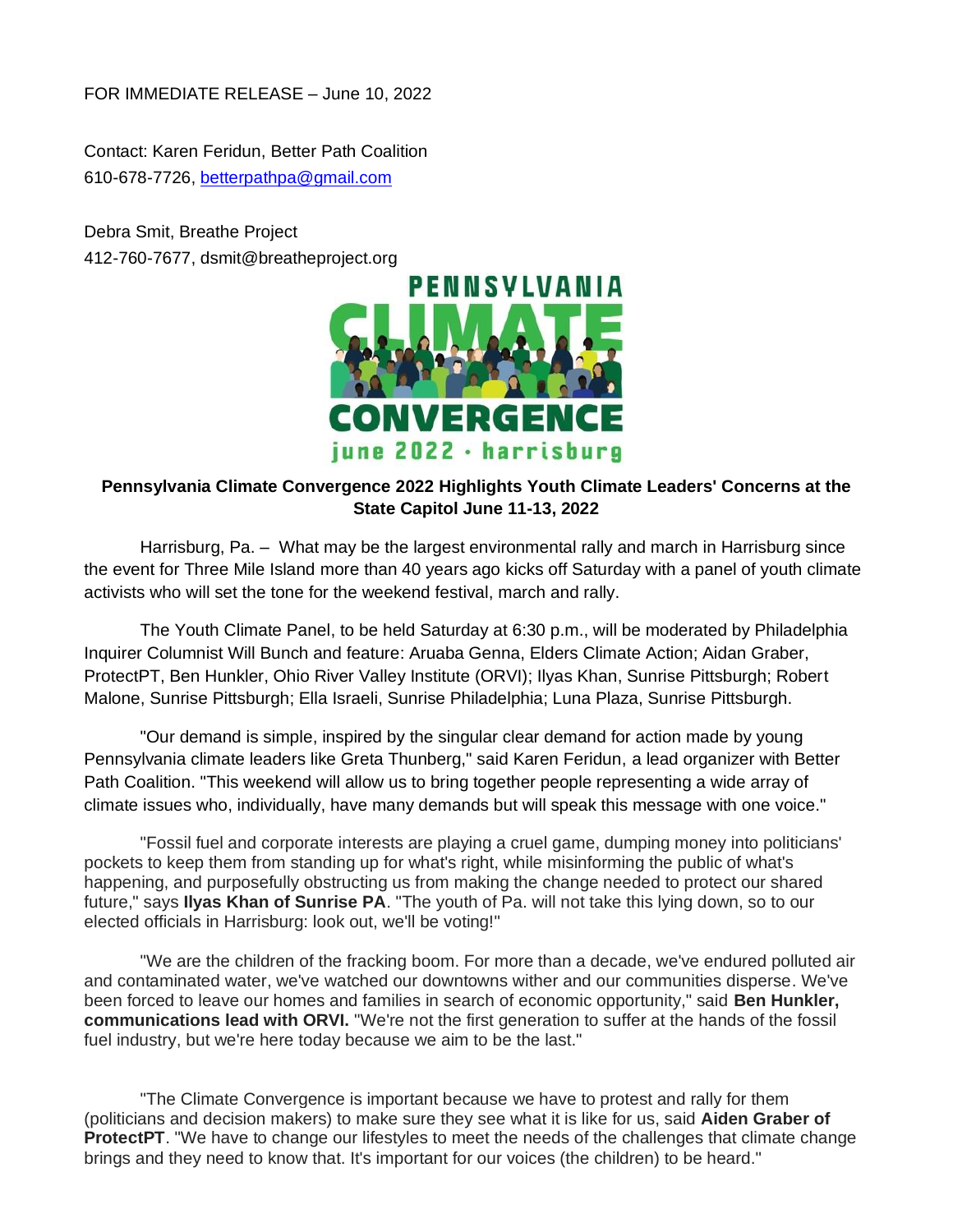FOR IMMEDIATE RELEASE – June 10, 2022

Contact: Karen Feridun, Better Path Coalition 610-678-7726, [betterpathpa@gmail.com](mailto:betterpathpa@gmail.com)

Debra Smit, Breathe Project 412-760-7677, dsmit@breatheproject.org



## **Pennsylvania Climate Convergence 2022 Highlights Youth Climate Leaders' Concerns at the State Capitol June 11-13, 2022**

Harrisburg, Pa. – What may be the largest environmental rally and march in Harrisburg since the event for Three Mile Island more than 40 years ago kicks off Saturday with a panel of youth climate activists who will set the tone for the weekend festival, march and rally.

The Youth Climate Panel, to be held Saturday at 6:30 p.m., will be moderated by Philadelphia Inquirer Columnist Will Bunch and feature: Aruaba Genna, Elders Climate Action; Aidan Graber, ProtectPT, Ben Hunkler, Ohio River Valley Institute (ORVI); Ilyas Khan, Sunrise Pittsburgh; Robert Malone, Sunrise Pittsburgh; Ella Israeli, Sunrise Philadelphia; Luna Plaza, Sunrise Pittsburgh.

"Our demand is simple, inspired by the singular clear demand for action made by young Pennsylvania climate leaders like Greta Thunberg," said Karen Feridun, a lead organizer with Better Path Coalition. "This weekend will allow us to bring together people representing a wide array of climate issues who, individually, have many demands but will speak this message with one voice."

"Fossil fuel and corporate interests are playing a cruel game, dumping money into politicians' pockets to keep them from standing up for what's right, while misinforming the public of what's happening, and purposefully obstructing us from making the change needed to protect our shared future," says **Ilyas Khan of Sunrise PA**. "The youth of Pa. will not take this lying down, so to our elected officials in Harrisburg: look out, we'll be voting!"

"We are the children of the fracking boom. For more than a decade, we've endured polluted air and contaminated water, we've watched our downtowns wither and our communities disperse. We've been forced to leave our homes and families in search of economic opportunity," said **Ben Hunkler, communications lead with ORVI.** "We're not the first generation to suffer at the hands of the fossil fuel industry, but we're here today because we aim to be the last."

"The Climate Convergence is important because we have to protest and rally for them (politicians and decision makers) to make sure they see what it is like for us, said **Aiden Graber of ProtectPT**. "We have to change our lifestyles to meet the needs of the challenges that climate change brings and they need to know that. It's important for our voices (the children) to be heard."